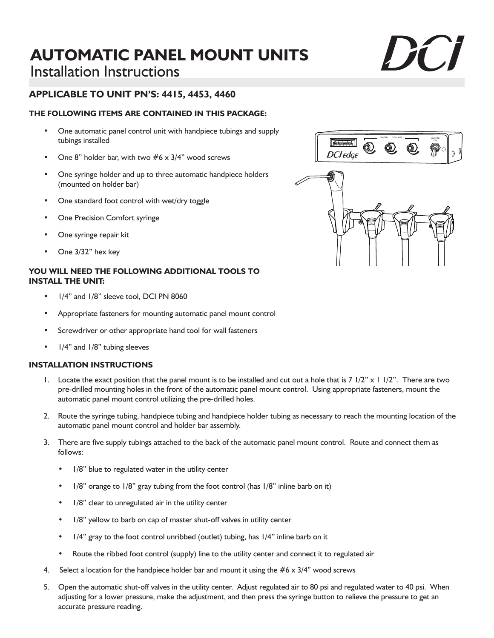# **AUTOMATIC PANEL MOUNT UNITS** Installation Instructions

## **APPLICABLE TO UNIT PN'S: 4415, 4453, 4460**

#### **THE FOLLOWING ITEMS ARE CONTAINED IN THIS PACKAGE:**

- One automatic panel control unit with handpiece tubings and supply tubings installed
- One 8" holder bar, with two  $#6 \times 3/4$ " wood screws
- One syringe holder and up to three automatic handpiece holders (mounted on holder bar)
- One standard foot control with wet/dry toggle
- One Precision Comfort syringe
- One syringe repair kit
- One 3/32" hex key

#### **YOU WILL NEED THE FOLLOWING ADDITIONAL TOOLS TO INSTALL THE UNIT:**

- 1/4" and 1/8" sleeve tool, DCI PN 8060
- Appropriate fasteners for mounting automatic panel mount control
- Screwdriver or other appropriate hand tool for wall fasteners
- 1/4" and 1/8" tubing sleeves

#### **INSTALLATION INSTRUCTIONS**

- 1. Locate the exact position that the panel mount is to be installed and cut out a hole that is 7 1/2" x 1 1/2". There are two pre-drilled mounting holes in the front of the automatic panel mount control. Using appropriate fasteners, mount the automatic panel mount control utilizing the pre-drilled holes.
- 2. Route the syringe tubing, handpiece tubing and handpiece holder tubing as necessary to reach the mounting location of the automatic panel mount control and holder bar assembly.
- 3. There are five supply tubings attached to the back of the automatic panel mount control. Route and connect them as follows:
	- 1/8" blue to regulated water in the utility center
	- 1/8" orange to 1/8" gray tubing from the foot control (has 1/8" inline barb on it)
	- 1/8" clear to unregulated air in the utility center
	- 1/8" yellow to barb on cap of master shut-off valves in utility center
	- 1/4" gray to the foot control unribbed (outlet) tubing, has 1/4" inline barb on it
	- Route the ribbed foot control (supply) line to the utility center and connect it to regulated air
- 4. Select a location for the handpiece holder bar and mount it using the  $#6 \times 3/4$ " wood screws
- 5. Open the automatic shut-off valves in the utility center. Adjust regulated air to 80 psi and regulated water to 40 psi. When adjusting for a lower pressure, make the adjustment, and then press the syringe button to relieve the pressure to get an accurate pressure reading.